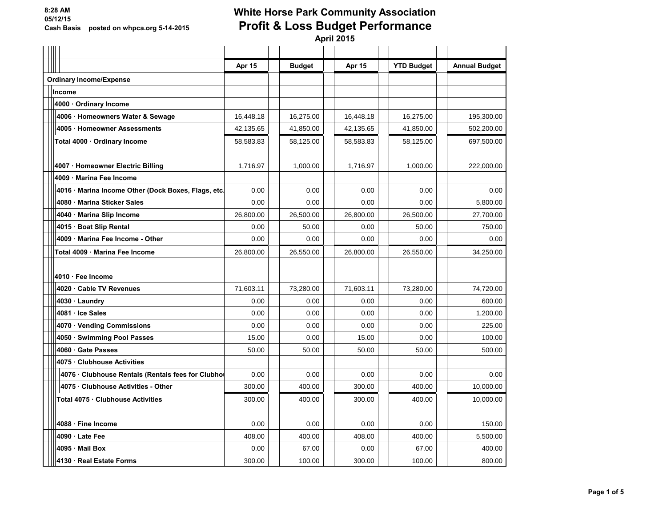# **White Horse Park Community Association Profit & Loss Budget Performance**

|                                                     | Apr 15    | <b>Budget</b> | Apr 15    | <b>YTD Budget</b> | <b>Annual Budget</b> |
|-----------------------------------------------------|-----------|---------------|-----------|-------------------|----------------------|
| <b>Ordinary Income/Expense</b>                      |           |               |           |                   |                      |
| Income                                              |           |               |           |                   |                      |
| 4000 · Ordinary Income                              |           |               |           |                   |                      |
| 4006 · Homeowners Water & Sewage                    | 16,448.18 | 16,275.00     | 16,448.18 | 16,275.00         | 195.300.00           |
| 4005 · Homeowner Assessments                        | 42,135.65 | 41,850.00     | 42,135.65 | 41,850.00         | 502,200.00           |
| Total 4000 · Ordinary Income                        | 58,583.83 | 58,125.00     | 58,583.83 | 58,125.00         | 697.500.00           |
|                                                     |           |               |           |                   |                      |
| 4007 · Homeowner Electric Billing                   | 1,716.97  | 1,000.00      | 1,716.97  | 1,000.00          | 222,000.00           |
| 4009 · Marina Fee Income                            |           |               |           |                   |                      |
| 4016 · Marina Income Other (Dock Boxes, Flags, etc. | 0.00      | 0.00          | 0.00      | 0.00              | 0.00                 |
| 4080 · Marina Sticker Sales                         | 0.00      | 0.00          | 0.00      | 0.00              | 5,800.00             |
| 4040 · Marina Slip Income                           | 26,800.00 | 26,500.00     | 26,800.00 | 26,500.00         | 27,700.00            |
| 4015 · Boat Slip Rental                             | 0.00      | 50.00         | 0.00      | 50.00             | 750.00               |
| 4009 · Marina Fee Income - Other                    | 0.00      | 0.00          | 0.00      | 0.00              | 0.00                 |
| Total 4009 · Marina Fee Income                      | 26,800.00 | 26,550.00     | 26,800.00 | 26,550.00         | 34,250.00            |
| 4010 · Fee Income                                   |           |               |           |                   |                      |
| 4020 Cable TV Revenues                              | 71,603.11 | 73,280.00     | 71,603.11 | 73,280.00         | 74,720.00            |
| 4030 · Laundry                                      | 0.00      | 0.00          | 0.00      | 0.00              | 600.00               |
| 4081 · Ice Sales                                    | 0.00      | 0.00          | 0.00      | 0.00              | 1,200.00             |
| 4070 · Vending Commissions                          | 0.00      | 0.00          | 0.00      | 0.00              | 225.00               |
| 4050 · Swimming Pool Passes                         | 15.00     | 0.00          | 15.00     | 0.00              | 100.00               |
| 4060 Gate Passes                                    | 50.00     | 50.00         | 50.00     | 50.00             | 500.00               |
| 4075 Clubhouse Activities                           |           |               |           |                   |                      |
| 4076 · Clubhouse Rentals (Rentals fees for Clubhol  | 0.00      | 0.00          | 0.00      | 0.00              | 0.00                 |
| 4075 Clubhouse Activities - Other                   | 300.00    | 400.00        | 300.00    | 400.00            | 10,000.00            |
| Total 4075 · Clubhouse Activities                   | 300.00    | 400.00        | 300.00    | 400.00            | 10,000.00            |
|                                                     |           |               |           |                   |                      |
| 4088 · Fine Income                                  | 0.00      | 0.00          | 0.00      | 0.00              | 150.00               |
| 4090 · Late Fee                                     | 408.00    | 400.00        | 408.00    | 400.00            | 5,500.00             |
| 4095 Mail Box                                       | 0.00      | 67.00         | 0.00      | 67.00             | 400.00               |
| 4130 · Real Estate Forms                            | 300.00    | 100.00        | 300.00    | 100.00            | 800.00               |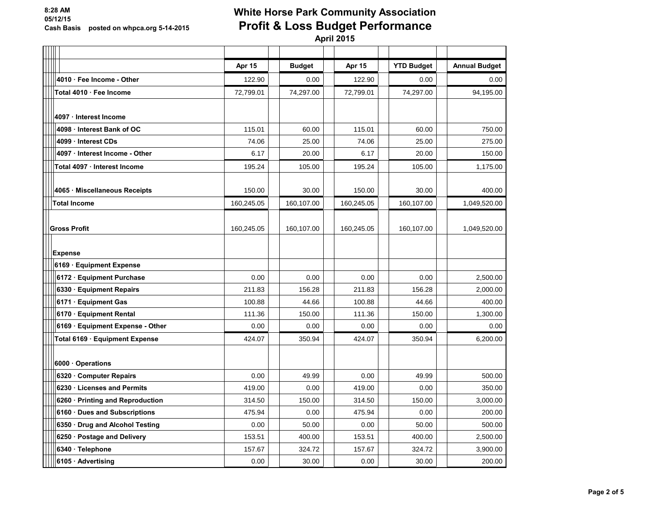# **White Horse Park Community Association Profit & Loss Budget Performance**

|                                  | Apr 15     | <b>Budget</b> | Apr 15     | <b>YTD Budget</b> | <b>Annual Budget</b> |
|----------------------------------|------------|---------------|------------|-------------------|----------------------|
| 4010 · Fee Income - Other        | 122.90     | 0.00          | 122.90     | 0.00              | 0.00                 |
| Total 4010 · Fee Income          | 72,799.01  | 74,297.00     | 72,799.01  | 74,297.00         | 94,195.00            |
|                                  |            |               |            |                   |                      |
| 4097 Interest Income             |            |               |            |                   |                      |
| 4098 · Interest Bank of OC       | 115.01     | 60.00         | 115.01     | 60.00             | 750.00               |
| 4099 Interest CDs                | 74.06      | 25.00         | 74.06      | 25.00             | 275.00               |
| 4097 · Interest Income - Other   | 6.17       | 20.00         | 6.17       | 20.00             | 150.00               |
| Total 4097 Interest Income       | 195.24     | 105.00        | 195.24     | 105.00            | 1,175.00             |
|                                  |            |               |            |                   |                      |
| 4065 Miscellaneous Receipts      | 150.00     | 30.00         | 150.00     | 30.00             | 400.00               |
| <b>Total Income</b>              | 160,245.05 | 160,107.00    | 160,245.05 | 160,107.00        | 1,049,520.00         |
|                                  |            |               |            |                   |                      |
| <b>Gross Profit</b>              | 160,245.05 | 160,107.00    | 160,245.05 | 160,107.00        | 1,049,520.00         |
|                                  |            |               |            |                   |                      |
| <b>Expense</b>                   |            |               |            |                   |                      |
| 6169 · Equipment Expense         |            |               |            |                   |                      |
| 6172 · Equipment Purchase        | 0.00       | 0.00          | 0.00       | 0.00              | 2,500.00             |
| 6330 · Equipment Repairs         | 211.83     | 156.28        | 211.83     | 156.28            | 2,000.00             |
| 6171 · Equipment Gas             | 100.88     | 44.66         | 100.88     | 44.66             | 400.00               |
| 6170 · Equipment Rental          | 111.36     | 150.00        | 111.36     | 150.00            | 1,300.00             |
| 6169 · Equipment Expense - Other | 0.00       | 0.00          | 0.00       | 0.00              | 0.00                 |
| Total 6169 · Equipment Expense   | 424.07     | 350.94        | 424.07     | 350.94            | 6,200.00             |
|                                  |            |               |            |                   |                      |
| 6000 Operations                  |            |               |            |                   |                      |
| 6320 Computer Repairs            | 0.00       | 49.99         | 0.00       | 49.99             | 500.00               |
| 6230 Licenses and Permits        | 419.00     | 0.00          | 419.00     | 0.00              | 350.00               |
| 6260 · Printing and Reproduction | 314.50     | 150.00        | 314.50     | 150.00            | 3,000.00             |
| 6160 · Dues and Subscriptions    | 475.94     | 0.00          | 475.94     | 0.00              | 200.00               |
| 6350 · Drug and Alcohol Testing  | 0.00       | 50.00         | 0.00       | 50.00             | 500.00               |
| 6250 · Postage and Delivery      | 153.51     | 400.00        | 153.51     | 400.00            | 2,500.00             |
| 6340 · Telephone                 | 157.67     | 324.72        | 157.67     | 324.72            | 3,900.00             |
| 6105 · Advertising               | 0.00       | 30.00         | 0.00       | 30.00             | 200.00               |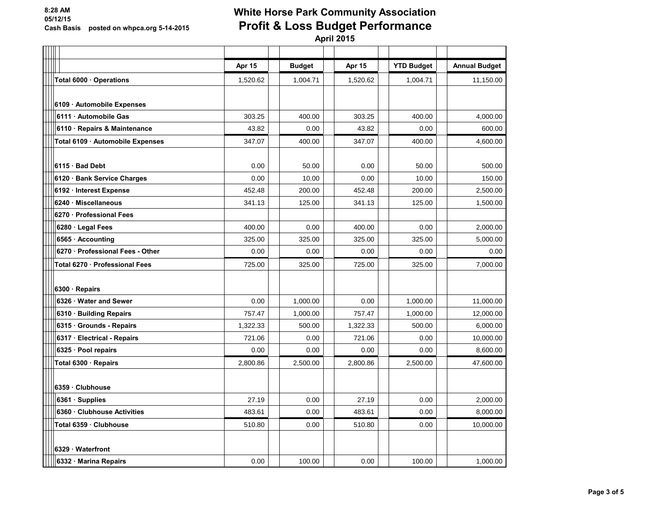# **White Horse Park Community Association Profit & Loss Budget Performance**

|                                  | Apr 15   | <b>Budget</b> | Apr 15   | <b>YTD Budget</b> | <b>Annual Budget</b> |
|----------------------------------|----------|---------------|----------|-------------------|----------------------|
| Total 6000 Operations            | 1,520.62 | 1,004.71      | 1,520.62 | 1,004.71          | 11,150.00            |
|                                  |          |               |          |                   |                      |
| 6109 · Automobile Expenses       |          |               |          |                   |                      |
| 6111 · Automobile Gas            | 303.25   | 400.00        | 303.25   | 400.00            | 4,000.00             |
| 6110 · Repairs & Maintenance     | 43.82    | 0.00          | 43.82    | 0.00              | 600.00               |
| Total 6109 · Automobile Expenses | 347.07   | 400.00        | 347.07   | 400.00            | 4,600.00             |
|                                  |          |               |          |                   |                      |
| 6115 · Bad Debt                  | 0.00     | 50.00         | 0.00     | 50.00             | 500.00               |
| 6120 · Bank Service Charges      | 0.00     | 10.00         | 0.00     | 10.00             | 150.00               |
| 6192 · Interest Expense          | 452.48   | 200.00        | 452.48   | 200.00            | 2,500.00             |
| 6240 Miscellaneous               | 341.13   | 125.00        | 341.13   | 125.00            | 1,500.00             |
| 6270 · Professional Fees         |          |               |          |                   |                      |
| 6280 · Legal Fees                | 400.00   | 0.00          | 400.00   | 0.00              | 2,000.00             |
| 6565 · Accounting                | 325.00   | 325.00        | 325.00   | 325.00            | 5,000.00             |
| 6270 · Professional Fees - Other | 0.00     | 0.00          | 0.00     | 0.00              | 0.00                 |
| Total 6270 · Professional Fees   | 725.00   | 325.00        | 725.00   | 325.00            | 7,000.00             |
|                                  |          |               |          |                   |                      |
| 6300 · Repairs                   |          |               |          |                   |                      |
| 6326 · Water and Sewer           | 0.00     | 1,000.00      | 0.00     | 1,000.00          | 11,000.00            |
| 6310 · Building Repairs          | 757.47   | 1,000.00      | 757.47   | 1,000.00          | 12,000.00            |
| 6315 · Grounds - Repairs         | 1,322.33 | 500.00        | 1,322.33 | 500.00            | 6,000.00             |
| 6317 · Electrical - Repairs      | 721.06   | 0.00          | 721.06   | 0.00              | 10,000.00            |
| 6325 · Pool repairs              | 0.00     | 0.00          | 0.00     | 0.00              | 8.600.00             |
| Total 6300 · Repairs             | 2,800.86 | 2,500.00      | 2,800.86 | 2,500.00          | 47,600.00            |
|                                  |          |               |          |                   |                      |
| 6359 Clubhouse                   |          |               |          |                   |                      |
| 6361 · Supplies                  | 27.19    | 0.00          | 27.19    | 0.00              | 2,000.00             |
| 6360 · Clubhouse Activities      | 483.61   | 0.00          | 483.61   | 0.00              | 8,000.00             |
| Total 6359 · Clubhouse           | 510.80   | 0.00          | 510.80   | 0.00              | 10,000.00            |
|                                  |          |               |          |                   |                      |
| 6329 Waterfront                  |          |               |          |                   |                      |
| 6332 · Marina Repairs            | 0.00     | 100.00        | 0.00     | 100.00            | 1,000.00             |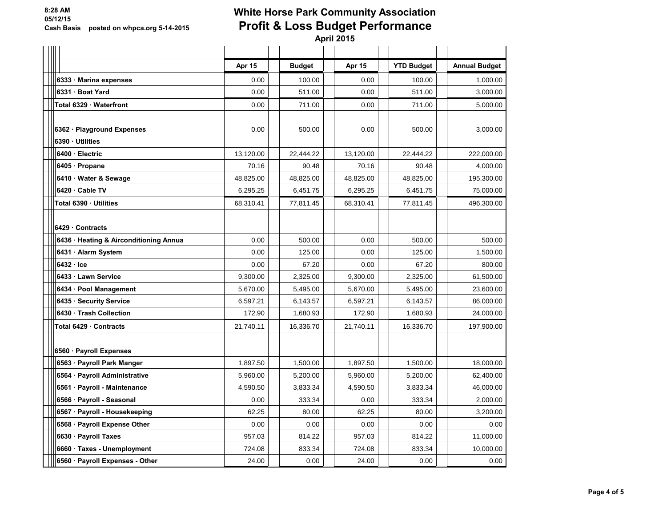# **White Horse Park Community Association Profit & Loss Budget Performance**

|                                        | Apr 15    | <b>Budget</b> | Apr 15    | <b>YTD Budget</b> | <b>Annual Budget</b> |
|----------------------------------------|-----------|---------------|-----------|-------------------|----------------------|
| 6333 · Marina expenses                 | 0.00      | 100.00        | 0.00      | 100.00            | 1,000.00             |
| 6331 Boat Yard                         | 0.00      | 511.00        | 0.00      | 511.00            | 3,000.00             |
| Total 6329 Waterfront                  | 0.00      | 711.00        | 0.00      | 711.00            | 5,000.00             |
|                                        |           |               |           |                   |                      |
| 6362 · Playground Expenses             | 0.00      | 500.00        | 0.00      | 500.00            | 3,000.00             |
| 6390 Utilities                         |           |               |           |                   |                      |
| 6400 · Electric                        | 13,120.00 | 22,444.22     | 13,120.00 | 22,444.22         | 222,000.00           |
| 6405 · Propane                         | 70.16     | 90.48         | 70.16     | 90.48             | 4,000.00             |
| 6410 · Water & Sewage                  | 48,825.00 | 48,825.00     | 48,825.00 | 48,825.00         | 195,300.00           |
| 6420 · Cable TV                        | 6,295.25  | 6,451.75      | 6,295.25  | 6,451.75          | 75,000.00            |
| Total 6390 · Utilities                 | 68,310.41 | 77,811.45     | 68,310.41 | 77,811.45         | 496,300.00           |
|                                        |           |               |           |                   |                      |
| 6429 Contracts                         |           |               |           |                   |                      |
| 6436 · Heating & Airconditioning Annua | 0.00      | 500.00        | 0.00      | 500.00            | 500.00               |
| 6431 · Alarm System                    | 0.00      | 125.00        | 0.00      | 125.00            | 1,500.00             |
| $6432 \cdot$ Ice                       | 0.00      | 67.20         | 0.00      | 67.20             | 800.00               |
| 6433 Lawn Service                      | 9.300.00  | 2.325.00      | 9.300.00  | 2.325.00          | 61,500.00            |
| 6434 · Pool Management                 | 5,670.00  | 5,495.00      | 5,670.00  | 5,495.00          | 23,600.00            |
| 6435 · Security Service                | 6,597.21  | 6,143.57      | 6,597.21  | 6,143.57          | 86,000.00            |
| 6430 · Trash Collection                | 172.90    | 1,680.93      | 172.90    | 1,680.93          | 24,000.00            |
| Total 6429 Contracts                   | 21,740.11 | 16,336.70     | 21,740.11 | 16,336.70         | 197,900.00           |
|                                        |           |               |           |                   |                      |
| 6560 · Payroll Expenses                |           |               |           |                   |                      |
| 6563 · Payroll Park Manger             | 1,897.50  | 1,500.00      | 1,897.50  | 1,500.00          | 18,000.00            |
| 6564 · Payroll Administrative          | 5,960.00  | 5,200.00      | 5,960.00  | 5,200.00          | 62,400.00            |
| 6561 · Payroll - Maintenance           | 4,590.50  | 3,833.34      | 4,590.50  | 3,833.34          | 46,000.00            |
| 6566 · Payroll - Seasonal              | 0.00      | 333.34        | 0.00      | 333.34            | 2,000.00             |
| 6567 · Payroll - Housekeeping          | 62.25     | 80.00         | 62.25     | 80.00             | 3,200.00             |
| 6568 · Payroll Expense Other           | 0.00      | 0.00          | 0.00      | 0.00              | 0.00                 |
| 6630 · Payroll Taxes                   | 957.03    | 814.22        | 957.03    | 814.22            | 11,000.00            |
| 6660 · Taxes - Unemployment            | 724.08    | 833.34        | 724.08    | 833.34            | 10,000.00            |
| 6560 · Payroll Expenses - Other        | 24.00     | 0.00          | 24.00     | 0.00              | 0.00                 |